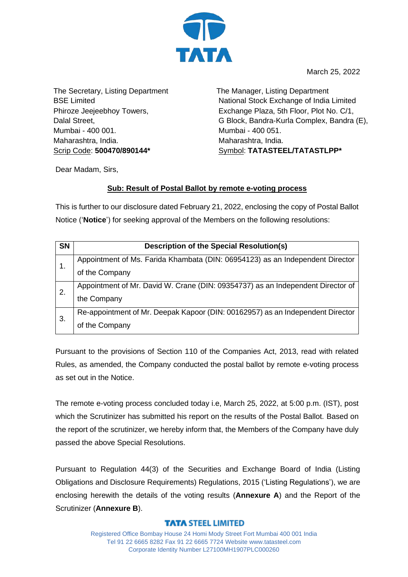

March 25, 2022

The Secretary, Listing Department BSE Limited Phiroze Jeejeebhoy Towers, Dalal Street, Mumbai - 400 001. Maharashtra, India. Scrip Code: **500470/890144\***

The Manager, Listing Department National Stock Exchange of India Limited Exchange Plaza, 5th Floor, Plot No. C/1, G Block, Bandra-Kurla Complex, Bandra (E), Mumbai - 400 051. Maharashtra, India. Symbol: **TATASTEEL/TATASTLPP\***

Dear Madam, Sirs,

## **Sub: Result of Postal Ballot by remote e-voting process**

This is further to our disclosure dated February 21, 2022, enclosing the copy of Postal Ballot Notice ('**Notice**') for seeking approval of the Members on the following resolutions:

| <b>SN</b> | <b>Description of the Special Resolution(s)</b>                                 |
|-----------|---------------------------------------------------------------------------------|
|           | Appointment of Ms. Farida Khambata (DIN: 06954123) as an Independent Director   |
|           | of the Company                                                                  |
| 2.        | Appointment of Mr. David W. Crane (DIN: 09354737) as an Independent Director of |
|           | the Company                                                                     |
| 3.        | Re-appointment of Mr. Deepak Kapoor (DIN: 00162957) as an Independent Director  |
|           | of the Company                                                                  |

Pursuant to the provisions of Section 110 of the Companies Act, 2013, read with related Rules, as amended, the Company conducted the postal ballot by remote e-voting process as set out in the Notice.

The remote e-voting process concluded today i.e, March 25, 2022, at 5:00 p.m. (IST), post which the Scrutinizer has submitted his report on the results of the Postal Ballot. Based on the report of the scrutinizer, we hereby inform that, the Members of the Company have duly passed the above Special Resolutions.

Pursuant to Regulation 44(3) of the Securities and Exchange Board of India (Listing Obligations and Disclosure Requirements) Regulations, 2015 ('Listing Regulations'), we are enclosing herewith the details of the voting results (**Annexure A**) and the Report of the Scrutinizer (**Annexure B**).

## **TATA STEEL LIMITED**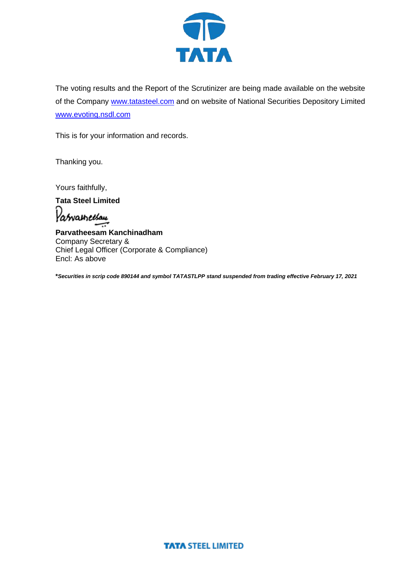

The voting results and the Report of the Scrutinizer are being made available on the website of the Company [www.tatasteel.com](http://www.tatasteel.com/) and on website of National Securities Depository Limited [www.evoting.nsdl.com](http://www.evoting.nsdl.com/)

This is for your information and records.

Thanking you.

Yours faithfully,

**Tata Steel Limited** *Varvameesau* 

**Parvatheesam Kanchinadham** Company Secretary & Chief Legal Officer (Corporate & Compliance) Encl: As above

**\****Securities in scrip code 890144 and symbol TATASTLPP stand suspended from trading effective February 17, 2021*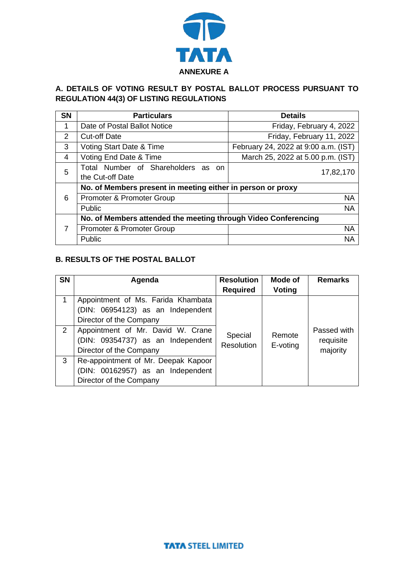

## **A. DETAILS OF VOTING RESULT BY POSTAL BALLOT PROCESS PURSUANT TO REGULATION 44(3) OF LISTING REGULATIONS**

| <b>SN</b> | <b>Particulars</b>                                             | <b>Details</b>                       |  |  |  |  |
|-----------|----------------------------------------------------------------|--------------------------------------|--|--|--|--|
| 1         | Date of Postal Ballot Notice                                   | Friday, February 4, 2022             |  |  |  |  |
| 2         | <b>Cut-off Date</b>                                            | Friday, February 11, 2022            |  |  |  |  |
| 3         | Voting Start Date & Time                                       | February 24, 2022 at 9:00 a.m. (IST) |  |  |  |  |
| 4         | Voting End Date & Time                                         | March 25, 2022 at 5.00 p.m. (IST)    |  |  |  |  |
| 5         | Total Number of Shareholders as on                             | 17,82,170                            |  |  |  |  |
|           | the Cut-off Date                                               |                                      |  |  |  |  |
|           | No. of Members present in meeting either in person or proxy    |                                      |  |  |  |  |
| 6         | Promoter & Promoter Group                                      | <b>NA</b>                            |  |  |  |  |
|           | Public                                                         | <b>NA</b>                            |  |  |  |  |
|           | No. of Members attended the meeting through Video Conferencing |                                      |  |  |  |  |
| 7         | Promoter & Promoter Group                                      | <b>NA</b>                            |  |  |  |  |
|           | Public                                                         | ΝA                                   |  |  |  |  |

## **B. RESULTS OF THE POSTAL BALLOT**

| <b>SN</b> | Agenda                              | <b>Resolution</b> | Mode of  | <b>Remarks</b> |
|-----------|-------------------------------------|-------------------|----------|----------------|
|           |                                     | Required          | Voting   |                |
| 1         | Appointment of Ms. Farida Khambata  |                   |          |                |
|           | (DIN: 06954123) as an Independent   |                   |          |                |
|           | Director of the Company             |                   |          |                |
| 2         | Appointment of Mr. David W. Crane   | Special           | Remote   | Passed with    |
|           | (DIN: 09354737) as an Independent   | <b>Resolution</b> | E-voting | requisite      |
|           | Director of the Company             |                   |          | majority       |
| 3         | Re-appointment of Mr. Deepak Kapoor |                   |          |                |
|           | (DIN: 00162957) as an Independent   |                   |          |                |
|           | Director of the Company             |                   |          |                |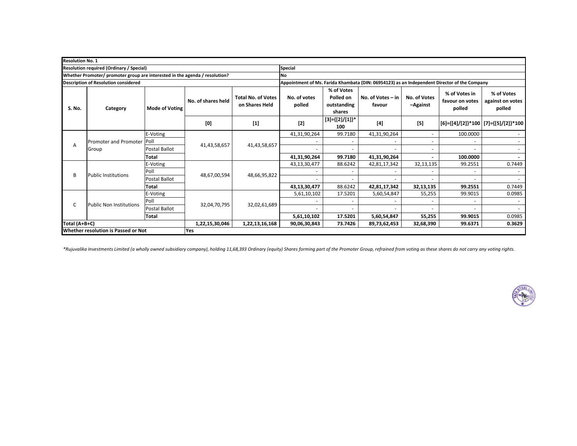|               | <b>Resolution No. 1</b>                                                     |                       |                    |                                             |                        |                                                  |                                                                                              |                                 |                                            |                                          |  |  |  |  |  |  |  |  |  |  |  |  |  |  |  |  |  |  |  |  |  |  |  |  |  |  |  |  |  |  |  |  |  |  |  |  |  |  |  |  |  |  |  |  |  |  |  |  |  |  |  |  |  |  |  |  |  |  |  |  |  |  |
|---------------|-----------------------------------------------------------------------------|-----------------------|--------------------|---------------------------------------------|------------------------|--------------------------------------------------|----------------------------------------------------------------------------------------------|---------------------------------|--------------------------------------------|------------------------------------------|--|--|--|--|--|--|--|--|--|--|--|--|--|--|--|--|--|--|--|--|--|--|--|--|--|--|--|--|--|--|--|--|--|--|--|--|--|--|--|--|--|--|--|--|--|--|--|--|--|--|--|--|--|--|--|--|--|--|--|--|--|--|
|               | <b>Resolution required (Ordinary / Special)</b>                             |                       |                    |                                             | <b>Special</b>         |                                                  |                                                                                              |                                 |                                            |                                          |  |  |  |  |  |  |  |  |  |  |  |  |  |  |  |  |  |  |  |  |  |  |  |  |  |  |  |  |  |  |  |  |  |  |  |  |  |  |  |  |  |  |  |  |  |  |  |  |  |  |  |  |  |  |  |  |  |  |  |  |  |  |
|               | Whether Promoter/ promoter group are interested in the agenda / resolution? |                       |                    |                                             | No                     |                                                  |                                                                                              |                                 |                                            |                                          |  |  |  |  |  |  |  |  |  |  |  |  |  |  |  |  |  |  |  |  |  |  |  |  |  |  |  |  |  |  |  |  |  |  |  |  |  |  |  |  |  |  |  |  |  |  |  |  |  |  |  |  |  |  |  |  |  |  |  |  |  |  |
|               | <b>Description of Resolution considered</b>                                 |                       |                    |                                             |                        |                                                  | Appointment of Ms. Farida Khambata (DIN: 06954123) as an Independent Director of the Company |                                 |                                            |                                          |  |  |  |  |  |  |  |  |  |  |  |  |  |  |  |  |  |  |  |  |  |  |  |  |  |  |  |  |  |  |  |  |  |  |  |  |  |  |  |  |  |  |  |  |  |  |  |  |  |  |  |  |  |  |  |  |  |  |  |  |  |  |
| <b>S. No.</b> | Category                                                                    | <b>Mode of Voting</b> | No. of shares held | <b>Total No. of Votes</b><br>on Shares Held | No. of votes<br>polled | % of Votes<br>Polled on<br>outstanding<br>shares | No. of Votes $-$ in<br>favour                                                                | <b>No. of Votes</b><br>-Against | % of Votes in<br>favour on votes<br>polled | % of Votes<br>against on votes<br>polled |  |  |  |  |  |  |  |  |  |  |  |  |  |  |  |  |  |  |  |  |  |  |  |  |  |  |  |  |  |  |  |  |  |  |  |  |  |  |  |  |  |  |  |  |  |  |  |  |  |  |  |  |  |  |  |  |  |  |  |  |  |  |
|               |                                                                             |                       | [0]                | $[1]$                                       | $[2]$                  | $[3] = \{ [2] / [1] \}^*$<br>100                 | $[4]$                                                                                        | $[5]$                           |                                            | [6]={[4]/[2]}*100 [7]={[5]/[2]}*100      |  |  |  |  |  |  |  |  |  |  |  |  |  |  |  |  |  |  |  |  |  |  |  |  |  |  |  |  |  |  |  |  |  |  |  |  |  |  |  |  |  |  |  |  |  |  |  |  |  |  |  |  |  |  |  |  |  |  |  |  |  |  |
|               |                                                                             | E-Voting              | 41,43,58,657       | 41,43,58,657                                | 41,31,90,264           | 99.7180                                          | 41,31,90,264                                                                                 |                                 | 100.0000                                   | $\sim$                                   |  |  |  |  |  |  |  |  |  |  |  |  |  |  |  |  |  |  |  |  |  |  |  |  |  |  |  |  |  |  |  |  |  |  |  |  |  |  |  |  |  |  |  |  |  |  |  |  |  |  |  |  |  |  |  |  |  |  |  |  |  |  |
|               | Promoter and Promoter Poll<br>Group                                         |                       |                    |                                             |                        |                                                  |                                                                                              |                                 |                                            | $\overline{\phantom{0}}$                 |  |  |  |  |  |  |  |  |  |  |  |  |  |  |  |  |  |  |  |  |  |  |  |  |  |  |  |  |  |  |  |  |  |  |  |  |  |  |  |  |  |  |  |  |  |  |  |  |  |  |  |  |  |  |  |  |  |  |  |  |  |  |
| A             |                                                                             | Postal Ballot         |                    |                                             |                        |                                                  |                                                                                              |                                 |                                            |                                          |  |  |  |  |  |  |  |  |  |  |  |  |  |  |  |  |  |  |  |  |  |  |  |  |  |  |  |  |  |  |  |  |  |  |  |  |  |  |  |  |  |  |  |  |  |  |  |  |  |  |  |  |  |  |  |  |  |  |  |  |  |  |
|               |                                                                             | <b>Total</b>          |                    |                                             | 41,31,90,264           | 99.7180                                          | 41,31,90,264                                                                                 |                                 | 100.0000                                   | $\blacksquare$                           |  |  |  |  |  |  |  |  |  |  |  |  |  |  |  |  |  |  |  |  |  |  |  |  |  |  |  |  |  |  |  |  |  |  |  |  |  |  |  |  |  |  |  |  |  |  |  |  |  |  |  |  |  |  |  |  |  |  |  |  |  |  |
|               |                                                                             | E-Voting              |                    | 48,66,95,822                                | 43, 13, 30, 477        | 88.6242                                          | 42,81,17,342                                                                                 | 32, 13, 135                     | 99.2551                                    | 0.7449                                   |  |  |  |  |  |  |  |  |  |  |  |  |  |  |  |  |  |  |  |  |  |  |  |  |  |  |  |  |  |  |  |  |  |  |  |  |  |  |  |  |  |  |  |  |  |  |  |  |  |  |  |  |  |  |  |  |  |  |  |  |  |  |
| B             | <b>Public Institutions</b>                                                  | Poll                  |                    |                                             |                        |                                                  |                                                                                              |                                 |                                            |                                          |  |  |  |  |  |  |  |  |  |  |  |  |  |  |  |  |  |  |  |  |  |  |  |  |  |  |  |  |  |  |  |  |  |  |  |  |  |  |  |  |  |  |  |  |  |  |  |  |  |  |  |  |  |  |  |  |  |  |  |  |  |  |
|               |                                                                             | Postal Ballot         | 48,67,00,594       |                                             |                        |                                                  |                                                                                              |                                 |                                            |                                          |  |  |  |  |  |  |  |  |  |  |  |  |  |  |  |  |  |  |  |  |  |  |  |  |  |  |  |  |  |  |  |  |  |  |  |  |  |  |  |  |  |  |  |  |  |  |  |  |  |  |  |  |  |  |  |  |  |  |  |  |  |  |
|               |                                                                             | <b>Total</b>          |                    |                                             | 43, 13, 30, 477        | 88.6242                                          | 42,81,17,342                                                                                 | 32, 13, 135                     | 99.2551                                    | 0.7449                                   |  |  |  |  |  |  |  |  |  |  |  |  |  |  |  |  |  |  |  |  |  |  |  |  |  |  |  |  |  |  |  |  |  |  |  |  |  |  |  |  |  |  |  |  |  |  |  |  |  |  |  |  |  |  |  |  |  |  |  |  |  |  |
|               |                                                                             | E-Voting              |                    |                                             | 5,61,10,102            | 17.5201                                          | 5,60,54,847                                                                                  | 55,255                          | 99.9015                                    | 0.0985                                   |  |  |  |  |  |  |  |  |  |  |  |  |  |  |  |  |  |  |  |  |  |  |  |  |  |  |  |  |  |  |  |  |  |  |  |  |  |  |  |  |  |  |  |  |  |  |  |  |  |  |  |  |  |  |  |  |  |  |  |  |  |  |
| C             | <b>Public Non Institutions</b>                                              | Poll                  | 32,04,70,795       |                                             |                        |                                                  |                                                                                              |                                 |                                            |                                          |  |  |  |  |  |  |  |  |  |  |  |  |  |  |  |  |  |  |  |  |  |  |  |  |  |  |  |  |  |  |  |  |  |  |  |  |  |  |  |  |  |  |  |  |  |  |  |  |  |  |  |  |  |  |  |  |  |  |  |  |  |  |
|               |                                                                             | Postal Ballot         |                    | 32,02,61,689                                |                        |                                                  |                                                                                              |                                 |                                            |                                          |  |  |  |  |  |  |  |  |  |  |  |  |  |  |  |  |  |  |  |  |  |  |  |  |  |  |  |  |  |  |  |  |  |  |  |  |  |  |  |  |  |  |  |  |  |  |  |  |  |  |  |  |  |  |  |  |  |  |  |  |  |  |
|               |                                                                             | <b>Total</b>          |                    |                                             | 5,61,10,102            | 17.5201                                          | 5,60,54,847                                                                                  | 55,255                          | 99.9015                                    | 0.0985                                   |  |  |  |  |  |  |  |  |  |  |  |  |  |  |  |  |  |  |  |  |  |  |  |  |  |  |  |  |  |  |  |  |  |  |  |  |  |  |  |  |  |  |  |  |  |  |  |  |  |  |  |  |  |  |  |  |  |  |  |  |  |  |
| Total (A+B+C) |                                                                             |                       | 1,22,15,30,046     | 1,22,13,16,168                              | 90,06,30,843           | 73.7426                                          | 89,73,62,453                                                                                 | 32,68,390                       | 99.6371                                    | 0.3629                                   |  |  |  |  |  |  |  |  |  |  |  |  |  |  |  |  |  |  |  |  |  |  |  |  |  |  |  |  |  |  |  |  |  |  |  |  |  |  |  |  |  |  |  |  |  |  |  |  |  |  |  |  |  |  |  |  |  |  |  |  |  |  |
|               | <b>Whether resolution is Passed or Not</b>                                  |                       | Yes                |                                             |                        |                                                  |                                                                                              |                                 |                                            |                                          |  |  |  |  |  |  |  |  |  |  |  |  |  |  |  |  |  |  |  |  |  |  |  |  |  |  |  |  |  |  |  |  |  |  |  |  |  |  |  |  |  |  |  |  |  |  |  |  |  |  |  |  |  |  |  |  |  |  |  |  |  |  |

*\*Rujuvalika Investments Limited (a wholly owned subsidiary company), holding 11,68,393 Ordinary (equity) Shares forming part of the Promoter Group, refrained from voting as these shares do not carry any voting rights.*

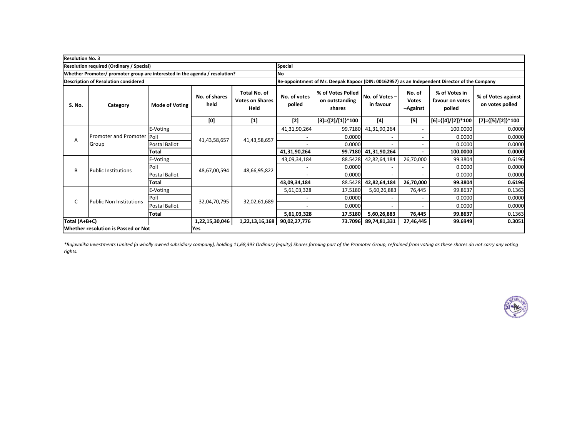| <b>Resolution No. 3</b> |                                                                             |                       |                              |                                                              |                                                                                               |                                               |                            |                                    |                                            |                                       |  |  |        |                          |                          |        |
|-------------------------|-----------------------------------------------------------------------------|-----------------------|------------------------------|--------------------------------------------------------------|-----------------------------------------------------------------------------------------------|-----------------------------------------------|----------------------------|------------------------------------|--------------------------------------------|---------------------------------------|--|--|--------|--------------------------|--------------------------|--------|
|                         | <b>Resolution required (Ordinary / Special)</b>                             |                       |                              |                                                              | <b>Special</b>                                                                                |                                               |                            |                                    |                                            |                                       |  |  |        |                          |                          |        |
|                         | Whether Promoter/ promoter group are interested in the agenda / resolution? |                       |                              |                                                              | <b>No</b>                                                                                     |                                               |                            |                                    |                                            |                                       |  |  |        |                          |                          |        |
|                         | <b>Description of Resolution considered</b>                                 |                       |                              |                                                              | Re-appointment of Mr. Deepak Kapoor (DIN: 00162957) as an Independent Director of the Company |                                               |                            |                                    |                                            |                                       |  |  |        |                          |                          |        |
| S. No.                  | Category                                                                    | <b>Mode of Voting</b> | No. of shares<br>held        | <b>Total No. of</b><br><b>Votes on Shares</b><br><b>Held</b> | No. of votes<br>polled                                                                        | % of Votes Polled<br>on outstanding<br>shares | No. of Votes-<br>in favour | No. of<br><b>Votes</b><br>-Against | % of Votes in<br>favour on votes<br>polled | % of Votes against<br>on votes polled |  |  |        |                          |                          |        |
|                         |                                                                             |                       | [0]                          | $[1]$                                                        | $[2]$                                                                                         | $[3] = \{ [2] / [1] \}^* 100$                 | $[4]$                      | $[5]$                              | $[6] = \{ [4] / [2] \} * 100$              | $[7] = \{ [5] / [2] \} * 100$         |  |  |        |                          |                          |        |
|                         |                                                                             | E-Voting              |                              | 41,43,58,657                                                 | 41,31,90,264                                                                                  | 99.7180                                       | 41,31,90,264               | $\sim$                             | 100.0000                                   | 0.0000                                |  |  |        |                          |                          |        |
|                         | Promoter and Promoter   Poll<br>Group                                       |                       | 41,43,58,657                 |                                                              |                                                                                               | 0.0000                                        |                            | $\overline{\phantom{a}}$           | 0.0000                                     | 0.0000                                |  |  |        |                          |                          |        |
| Α                       |                                                                             | Postal Ballot         |                              |                                                              |                                                                                               | 0.0000                                        |                            |                                    | 0.0000                                     | 0.0000                                |  |  |        |                          |                          |        |
|                         |                                                                             | <b>Total</b>          |                              |                                                              | 41,31,90,264                                                                                  | 99.7180                                       | 41,31,90,264               | $\overline{\phantom{a}}$           | 100.0000                                   | 0.0000                                |  |  |        |                          |                          |        |
|                         |                                                                             | E-Voting              |                              |                                                              | 43,09,34,184                                                                                  | 88.5428                                       | 42,82,64,184               | 26,70,000                          | 99.3804                                    | 0.6196                                |  |  |        |                          |                          |        |
| B                       | <b>Public Institutions</b>                                                  | Poll                  | 48,67,00,594<br>48,66,95,822 |                                                              |                                                                                               | 0.0000                                        |                            | $\sim$                             | 0.0000                                     | 0.0000                                |  |  |        |                          |                          |        |
|                         |                                                                             | Postal Ballot         |                              |                                                              |                                                                                               |                                               |                            |                                    |                                            |                                       |  |  | 0.0000 | $\overline{\phantom{a}}$ | $\overline{\phantom{a}}$ | 0.0000 |
|                         |                                                                             | <b>Total</b>          |                              |                                                              | 43,09,34,184                                                                                  | 88.5428                                       | 42,82,64,184               | 26,70,000                          | 99.3804                                    | 0.6196                                |  |  |        |                          |                          |        |
|                         |                                                                             | E-Voting              |                              |                                                              | 5,61,03,328                                                                                   | 17.5180                                       | 5,60,26,883                | 76,445                             | 99.8637                                    | 0.1363                                |  |  |        |                          |                          |        |
| $\mathsf{C}$            | <b>Public Non Institutions</b>                                              | Poll                  | 32,04,70,795                 | 32,02,61,689                                                 |                                                                                               | 0.0000                                        |                            | $\overline{\phantom{a}}$           | 0.0000                                     | 0.0000                                |  |  |        |                          |                          |        |
|                         |                                                                             | Postal Ballot         |                              |                                                              |                                                                                               | 0.0000                                        |                            | $\overline{\phantom{a}}$           | 0.0000                                     | 0.0000                                |  |  |        |                          |                          |        |
|                         |                                                                             | <b>Total</b>          |                              |                                                              | 5,61,03,328                                                                                   | 17.5180                                       | 5,60,26,883                | 76,445                             | 99.8637                                    | 0.1363                                |  |  |        |                          |                          |        |
| Total (A+B+C)           |                                                                             |                       | 1,22,15,30,046               | 1,22,13,16,168                                               | 90,02,27,776                                                                                  | 73.7096                                       | 89,74,81,331               | 27,46,445                          | 99.6949                                    | 0.3051                                |  |  |        |                          |                          |        |
|                         | <b>Whether resolution is Passed or Not</b>                                  |                       | Yes                          |                                                              |                                                                                               |                                               |                            |                                    |                                            |                                       |  |  |        |                          |                          |        |

*\*Rujuvalika Investments Limited (a wholly owned subsidiary company), holding 11,68,393 Ordinary (equity) Shares forming part of the Promoter Group, refrained from voting as these shares do not carry any voting rights.*

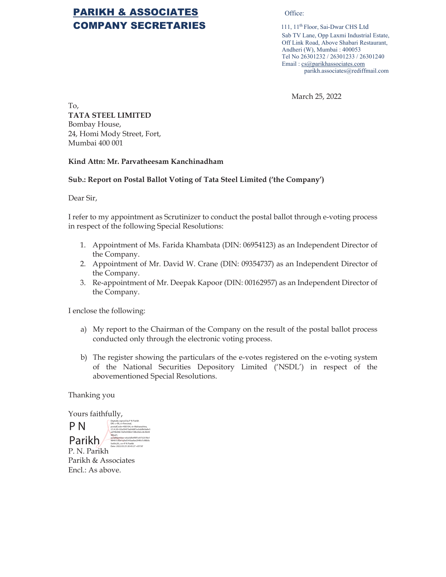# **PARIKH & ASSOCIATES 21 Office: COMPANY SECRETARIES** 111, 11<sup>th</sup> Floor, Sai-Dwar CHS Ltd

Sab TV Lane, Opp Laxmi Industrial Estate, Off Link Road, Above Shabari Restaurant, Andheri (W), Mumbai: 400053 Tel No 26301232 / 26301233 / 26301240 Email: cs@parikhassociates.com parikh.associates@rediffmail.com

March 25, 2022

To, **TATA STEEL LIMITED**  Bombay House, 24, Homi Mody Street, Fort, Mumbai 400 001

#### **Kind Attn: Mr. Parvatheesam Kanchinadham**

#### **Sub.: Report on Postal Ballot Voting of Tata Steel Limited ('the Company')**

Dear Sir,

I refer to my appointment as Scrutinizer to conduct the postal ballot through e-voting process in respect of the following Special Resolutions:

- 1. Appointment of Ms. Farida Khambata (DIN: 06954123) as an Independent Director of the Company.
- 2. Appointment of Mr. David W. Crane (DIN: 09354737) as an Independent Director of the Company.
- 3. Re-appointment of Mr. Deepak Kapoor (DIN: 00162957) as an Independent Director of the Company.

I enclose the following:

- a) My report to the Chairman of the Company on the result of the postal ballot process conducted only through the electronic voting process.
- b) The register showing the particulars of the e-votes registered on the e-voting system of the National Securities Depository Limited ('NSDL') in respect of the abovementioned Special Resolutions.

Thanking you

Yours faithfully, P. N. Parikh Parikh & Associates Encl.: As above. P N Parikh Digitally signed by P N Parikh DN: c=IN, o=Personal, postalCode=400104, st=Maharashtra, 2.5.4.20=02a59473a64d87ecbddfe0a8e3 ad70b06b16d5d30bb138b26dcc8c4b69 3f8ed1, serialNumber=e6a5dfe9f9f1e9732378e1 98497c9be1a9a5543aafae294fe7c98b0c 5e69c2fc, cn=P N Parikh Date: 2022.03.25 20:43:27 +05'30'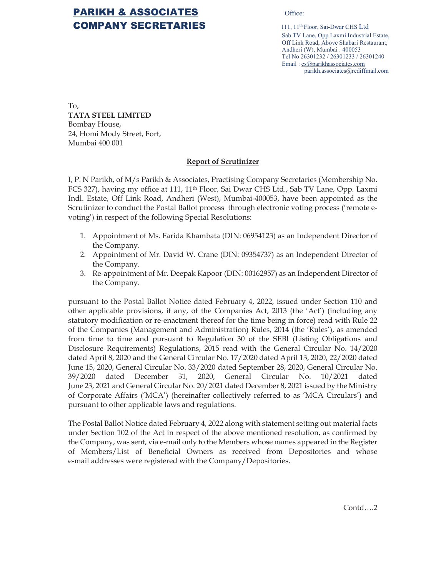# **PARIKH & ASSOCIATES 21 Office: COMPANY SECRETARIES** 111, 11<sup>th</sup> Floor, Sai-Dwar CHS Ltd

Sab TV Lane, Opp Laxmi Industrial Estate, Off Link Road, Above Shabari Restaurant, Andheri (W), Mumbai: 400053 Tel No 26301232 / 26301233 / 26301240 Email: cs@parikhassociates.com parikh.associates@rediffmail.com

To, **TATA STEEL LIMITED**  Bombay House, 24, Homi Mody Street, Fort, Mumbai 400 001

#### **Report of Scrutinizer**

I, P. N Parikh, of M/s Parikh & Associates, Practising Company Secretaries (Membership No. FCS 327), having my office at 111, 11th Floor, Sai Dwar CHS Ltd., Sab TV Lane, Opp. Laxmi Indl. Estate, Off Link Road, Andheri (West), Mumbai-400053, have been appointed as the Scrutinizer to conduct the Postal Ballot process through electronic voting process ('remote evoting') in respect of the following Special Resolutions:

- 1. Appointment of Ms. Farida Khambata (DIN: 06954123) as an Independent Director of the Company.
- 2. Appointment of Mr. David W. Crane (DIN: 09354737) as an Independent Director of the Company.
- 3. Re-appointment of Mr. Deepak Kapoor (DIN: 00162957) as an Independent Director of the Company.

pursuant to the Postal Ballot Notice dated February 4, 2022, issued under Section 110 and other applicable provisions, if any, of the Companies Act, 2013 (the 'Act') (including any statutory modification or re-enactment thereof for the time being in force) read with Rule 22 of the Companies (Management and Administration) Rules, 2014 (the 'Rules'), as amended from time to time and pursuant to Regulation 30 of the SEBI (Listing Obligations and Disclosure Requirements) Regulations, 2015 read with the General Circular No. 14/2020 dated April 8, 2020 and the General Circular No. 17/2020 dated April 13, 2020, 22/2020 dated June 15, 2020, General Circular No. 33/2020 dated September 28, 2020, General Circular No. 39/2020 dated December 31, 2020, General Circular No. 10/2021 dated June 23, 2021 and General Circular No. 20/2021 dated December 8, 2021 issued by the Ministry of Corporate Affairs ('MCA') (hereinafter collectively referred to as 'MCA Circulars') and pursuant to other applicable laws and regulations.

The Postal Ballot Notice dated February 4, 2022 along with statement setting out material facts under Section 102 of the Act in respect of the above mentioned resolution, as confirmed by the Company, was sent, via e-mail only to the Members whose names appeared in the Register of Members/List of Beneficial Owners as received from Depositories and whose e-mail addresses were registered with the Company/Depositories.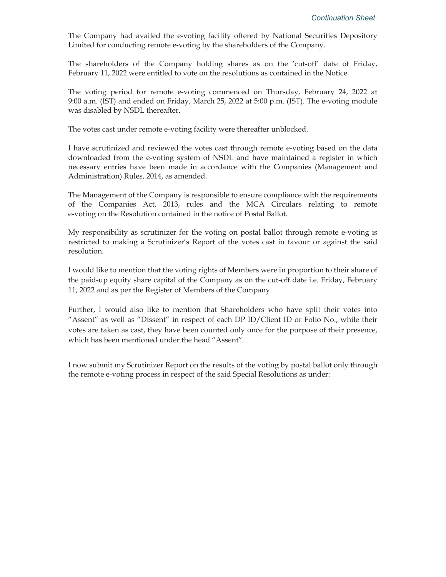The Company had availed the e-voting facility offered by National Securities Depository Limited for conducting remote e-voting by the shareholders of the Company.

The shareholders of the Company holding shares as on the 'cut-off' date of Friday, February 11, 2022 were entitled to vote on the resolutions as contained in the Notice.

The voting period for remote e-voting commenced on Thursday, February 24, 2022 at 9:00 a.m. (IST) and ended on Friday, March 25, 2022 at 5:00 p.m. (IST). The e-voting module was disabled by NSDL thereafter.

The votes cast under remote e-voting facility were thereafter unblocked.

I have scrutinized and reviewed the votes cast through remote e-voting based on the data downloaded from the e-voting system of NSDL and have maintained a register in which necessary entries have been made in accordance with the Companies (Management and Administration) Rules, 2014, as amended.

The Management of the Company is responsible to ensure compliance with the requirements of the Companies Act, 2013, rules and the MCA Circulars relating to remote e-voting on the Resolution contained in the notice of Postal Ballot.

My responsibility as scrutinizer for the voting on postal ballot through remote e-voting is restricted to making a Scrutinizer's Report of the votes cast in favour or against the said resolution.

I would like to mention that the voting rights of Members were in proportion to their share of the paid-up equity share capital of the Company as on the cut-off date i.e. Friday, February 11, 2022 and as per the Register of Members of the Company.

Further, I would also like to mention that Shareholders who have split their votes into "Assent" as well as "Dissent" in respect of each DP ID/Client ID or Folio No., while their votes are taken as cast, they have been counted only once for the purpose of their presence, which has been mentioned under the head "Assent".

I now submit my Scrutinizer Report on the results of the voting by postal ballot only through the remote e-voting process in respect of the said Special Resolutions as under: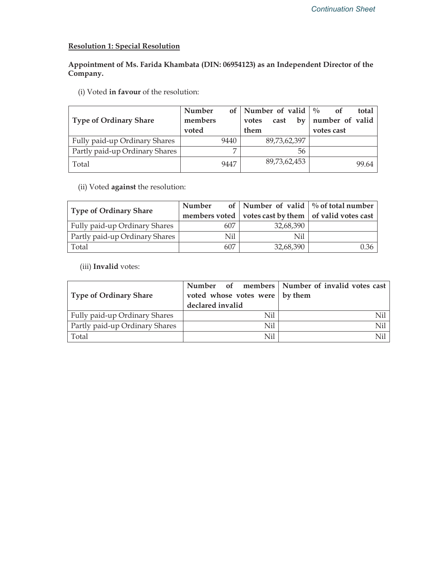## **Resolution 1: Special Resolution**

#### **Appointment of Ms. Farida Khambata (DIN: 06954123) as an Independent Director of the Company.**

(i) Voted **in favour** of the resolution:

| <b>Type of Ordinary Share</b>  | Number<br>members<br>voted |                | of   Number of valid $\frac{9}{6}$<br>votes<br>them | cast         | $bv$ | of<br>number of valid<br>votes cast | total |
|--------------------------------|----------------------------|----------------|-----------------------------------------------------|--------------|------|-------------------------------------|-------|
| Fully paid-up Ordinary Shares  |                            | 9440           |                                                     | 89,73,62,397 |      |                                     |       |
| Partly paid-up Ordinary Shares |                            | $\overline{ }$ |                                                     |              | 56   |                                     |       |
| Total                          |                            | 9447           |                                                     | 89,73,62,453 |      |                                     | 99.64 |

(ii) Voted **against** the resolution:

| <b>Type of Ordinary Share</b>  | Number | of   Number of valid $\frac{1}{2}$ % of total number<br>members voted $\vert$ votes cast by them $\vert$ of valid votes cast |      |
|--------------------------------|--------|------------------------------------------------------------------------------------------------------------------------------|------|
| Fully paid-up Ordinary Shares  | 607    | 32,68,390                                                                                                                    |      |
| Partly paid-up Ordinary Shares | Nil    | Nil                                                                                                                          |      |
| Total                          | 607    | 32,68,390                                                                                                                    | 0.36 |

(iii) **Invalid** votes:

| <b>Type of Ordinary Share</b>  | voted whose votes were $\vert$ by them<br>declared invalid | Number of members   Number of invalid votes cast |
|--------------------------------|------------------------------------------------------------|--------------------------------------------------|
| Fully paid-up Ordinary Shares  | Nil                                                        | Nil                                              |
| Partly paid-up Ordinary Shares | Nil                                                        | N <sub>i</sub> l                                 |
| Total                          | Nil                                                        | Nil                                              |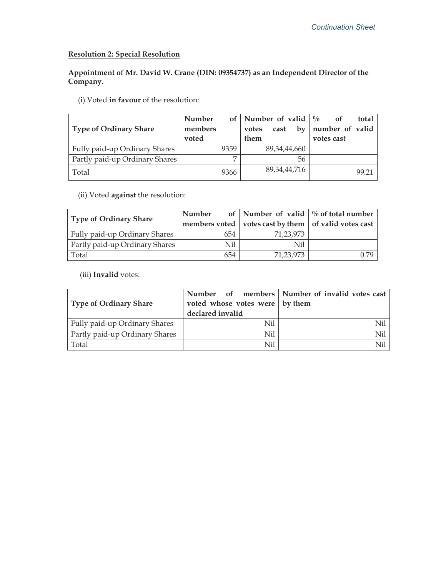## **Resolution 2: Special Resolution**

### **Appointment of Mr. David W. Crane (DIN: 09354737) as an Independent Director of the Company.**

(i) Voted **in favour** of the resolution:

| <b>Type of Ordinary Share</b>  | <b>Number</b><br>members<br>voted | of   Number of valid $\frac{9}{6}$<br>$bv$<br>cast<br>votes<br>them | <sub>of</sub><br>total<br>number of valid<br>votes cast |
|--------------------------------|-----------------------------------|---------------------------------------------------------------------|---------------------------------------------------------|
| Fully paid-up Ordinary Shares  | 9359                              | 89,34,44,660                                                        |                                                         |
| Partly paid-up Ordinary Shares | $\overline{ }$                    | 56                                                                  |                                                         |
| Total                          | 9366                              | 89,34,44,716                                                        | 99.21                                                   |

### (ii) Voted **against** the resolution:

|                                | Number | of   Number of valid   $\%$ of total number              |      |
|--------------------------------|--------|----------------------------------------------------------|------|
| Type of Ordinary Share         |        | members voted   votes cast by them   of valid votes cast |      |
| Fully paid-up Ordinary Shares  | 654    | 71,23,973                                                |      |
| Partly paid-up Ordinary Shares | Nil    | Nil                                                      |      |
| Total                          | 654    | 71,23,973                                                | 0.79 |

(iii) **Invalid** votes:

| Type of Ordinary Share         | voted whose votes were   by them<br>declared invalid | Number of members Number of invalid votes cast |
|--------------------------------|------------------------------------------------------|------------------------------------------------|
| Fully paid-up Ordinary Shares  | Nil                                                  | Nil                                            |
| Partly paid-up Ordinary Shares | Nil                                                  | Nil                                            |
| Total                          | Nil                                                  | N <sub>i</sub> l                               |